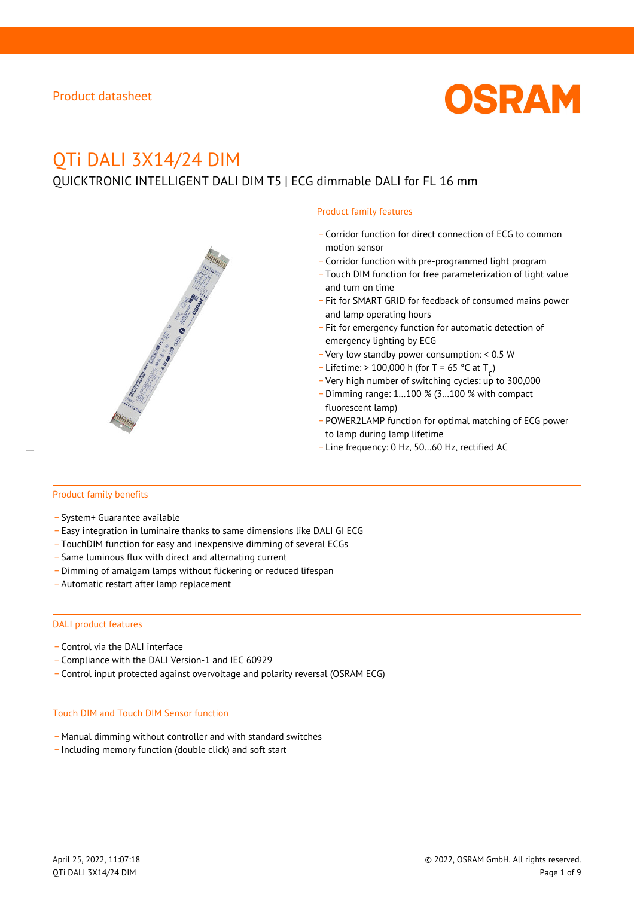

# QTi DALI 3X14/24 DIM

QUICKTRONIC INTELLIGENT DALI DIM T5 | ECG dimmable DALI for FL 16 mm

#### Product family features

- \_ Corridor function for direct connection of ECG to common motion sensor
- \_ Corridor function with pre-programmed light program
- \_ Touch DIM function for free parameterization of light value and turn on time
- Fit for SMART GRID for feedback of consumed mains power and lamp operating hours
- \_ Fit for emergency function for automatic detection of emergency lighting by ECG
- \_ Very low standby power consumption: < 0.5 W
- $-$  Lifetime: > 100,000 h (for T = 65 °C at T
- Litedine. The 100,000 in (ion 1 05 ° C at  $1\frac{c^7}{c^7}$ <br>- Very high number of switching cycles: up to 300,000
- \_ Dimming range: 1…100 % (3…100 % with compact fluorescent lamp)
- POWER2LAMP function for optimal matching of ECG power to lamp during lamp lifetime
- Line frequency: 0 Hz, 50...60 Hz, rectified AC

#### Product family benefits

- \_ System+ Guarantee available
- \_ Easy integration in luminaire thanks to same dimensions like DALI GI ECG
- \_ TouchDIM function for easy and inexpensive dimming of several ECGs
- \_ Same luminous flux with direct and alternating current
- \_ Dimming of amalgam lamps without flickering or reduced lifespan
- \_ Automatic restart after lamp replacement

#### DALI product features

- Control via the DALI interface
- \_ Compliance with the DALI Version-1 and IEC 60929
- \_ Control input protected against overvoltage and polarity reversal (OSRAM ECG)

#### Touch DIM and Touch DIM Sensor function

- \_ Manual dimming without controller and with standard switches
- \_ Including memory function (double click) and soft start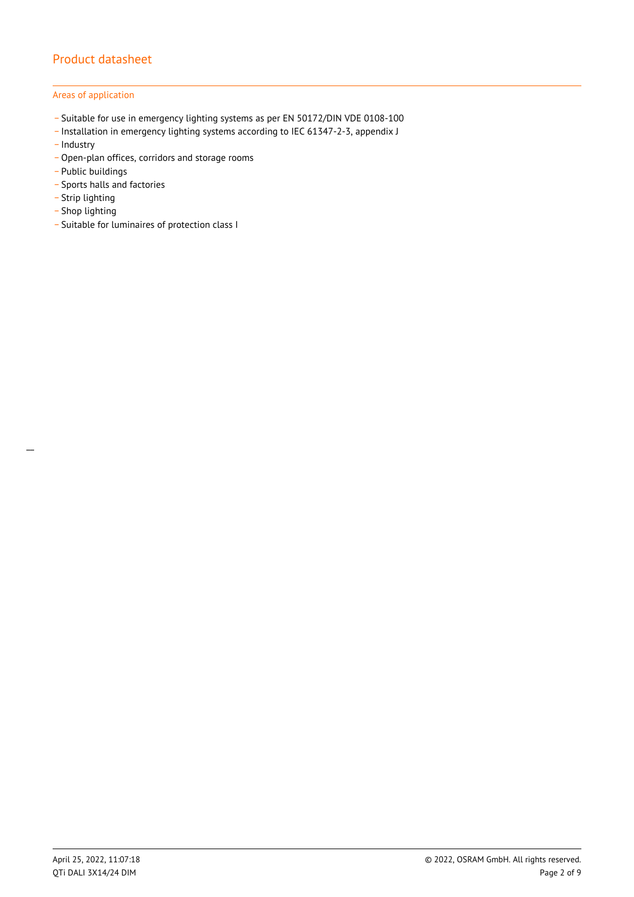## Areas of application

- \_ Suitable for use in emergency lighting systems as per EN 50172/DIN VDE 0108-100
- \_ Installation in emergency lighting systems according to IEC 61347-2-3, appendix J
- Industry
- \_ Open-plan offices, corridors and storage rooms
- \_ Public buildings
- \_ Sports halls and factories
- .<br>- Strip lighting
- \_ Shop lighting
- \_ Suitable for luminaires of protection class I

 $\overline{a}$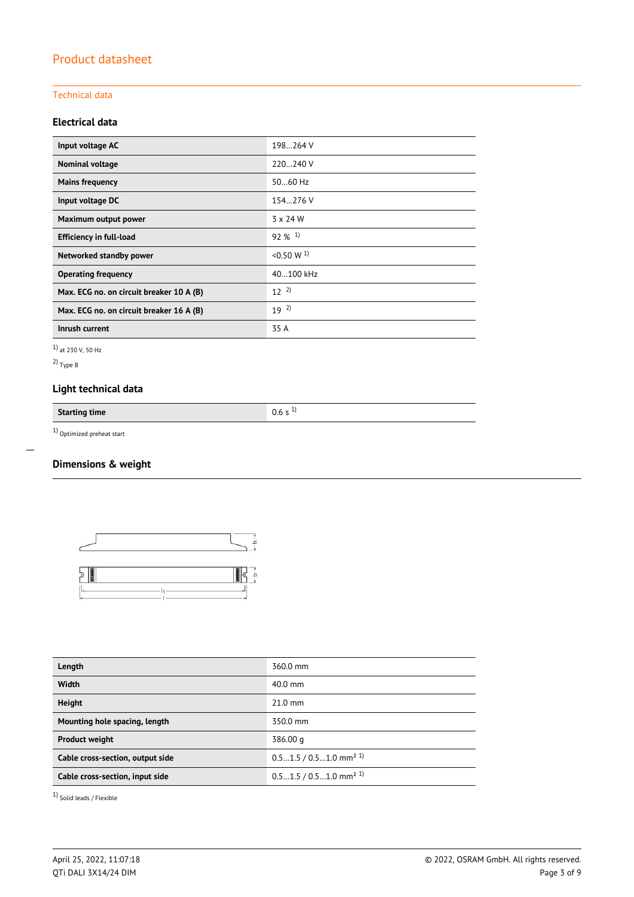## Technical data

## **Electrical data**

| Input voltage AC                         | 198264 V              |
|------------------------------------------|-----------------------|
| Nominal voltage                          | 220240 V              |
| <b>Mains frequency</b>                   | 5060 Hz               |
| Input voltage DC                         | 154.276 V             |
| Maximum output power                     | $3 \times 24$ W       |
| <b>Efficiency in full-load</b>           | $92\%$ <sup>1)</sup>  |
| Networked standby power                  | < 0.50 W <sup>1</sup> |
| <b>Operating frequency</b>               | 40100 kHz             |
| Max. ECG no. on circuit breaker 10 A (B) | $12^{2}$              |
| Max. ECG no. on circuit breaker 16 A (B) | $19^{2}$              |
| Inrush current                           | 35 A                  |

1) at 230 V, 50 Hz

2) Type B

 $\overline{a}$ 

## **Light technical data**

**Starting time** 0.6 s <sup>1)</sup>

1) Optimized preheat start

## **Dimensions & weight**



| Length                           | 360.0 mm                             |
|----------------------------------|--------------------------------------|
| <b>Width</b>                     | $40.0$ mm                            |
| <b>Height</b>                    | $21.0$ mm                            |
| Mounting hole spacing, length    | 350.0 mm                             |
| <b>Product weight</b>            | 386.00 g                             |
| Cable cross-section, output side | $0.51.5 / 0.51.0$ mm <sup>2 1)</sup> |
| Cable cross-section, input side  | $0.51.5 / 0.51.0$ mm <sup>2 1)</sup> |
|                                  |                                      |

1) Solid leads / Flexible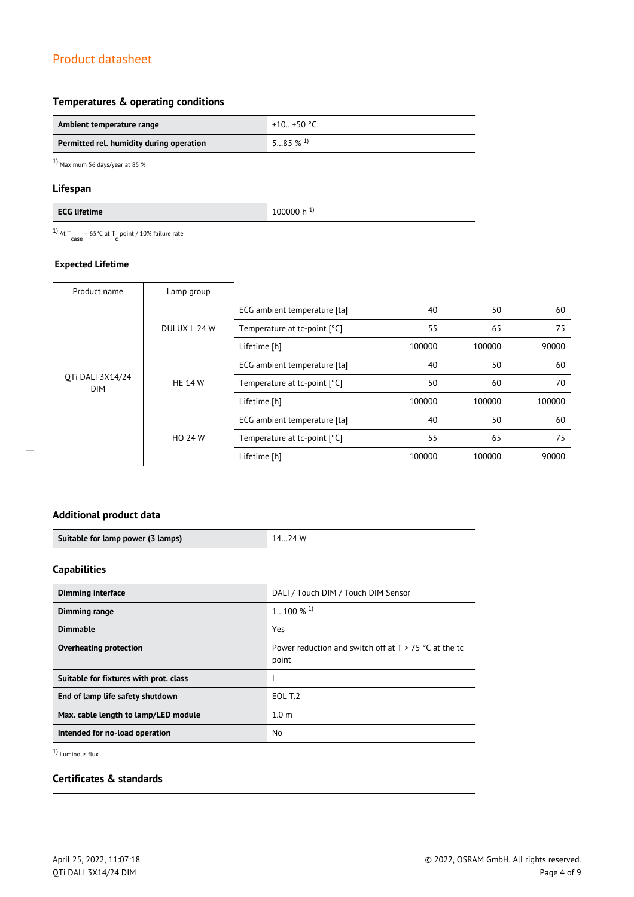## **Temperatures & operating conditions**

| Ambient temperature range                | +10+50 °C             |
|------------------------------------------|-----------------------|
| Permitted rel. humidity during operation | $585\%$ <sup>1)</sup> |

1) Maximum 56 days/year at 85 %

## **Lifespan**

<sup>1)</sup> At T<sub>case</sub> = 65°C at T<sub>c</sub> point / 10% failure rate

## **Expected Lifetime**

| Product name                   | Lamp group     |                              |        |        |        |
|--------------------------------|----------------|------------------------------|--------|--------|--------|
| OTi DALI 3X14/24<br><b>DIM</b> | DULUX L 24 W   | ECG ambient temperature [ta] | 40     | 50     | 60     |
|                                |                | Temperature at tc-point [°C] | 55     | 65     | 75     |
|                                |                | Lifetime [h]                 | 100000 | 100000 | 90000  |
|                                | <b>HE 14 W</b> | ECG ambient temperature [ta] | 40     | 50     | 60     |
|                                |                | Temperature at tc-point [°C] | 50     | 60     | 70     |
|                                |                | Lifetime [h]                 | 100000 | 100000 | 100000 |
|                                | HO 24 W        | ECG ambient temperature [ta] | 40     | 50     | 60     |
|                                |                | Temperature at tc-point [°C] | 55     | 65     | 75     |
|                                |                | Lifetime [h]                 | 100000 | 100000 | 90000  |

## **Additional product data**

| Suitable for lamp power (3 lamps) | 74 W |
|-----------------------------------|------|

## **Capabilities**

| <b>Dimming interface</b>               | DALI / Touch DIM / Touch DIM Sensor                              |
|----------------------------------------|------------------------------------------------------------------|
| Dimming range                          | $1100\%$ <sup>1)</sup>                                           |
| <b>Dimmable</b>                        | Yes                                                              |
| Overheating protection                 | Power reduction and switch off at $T > 75$ °C at the tc<br>point |
| Suitable for fixtures with prot. class |                                                                  |
| End of lamp life safety shutdown       | EOL T.2                                                          |
| Max. cable length to lamp/LED module   | 1.0 <sub>m</sub>                                                 |
| Intended for no-load operation         | No.                                                              |

1) Luminous flux

## **Certificates & standards**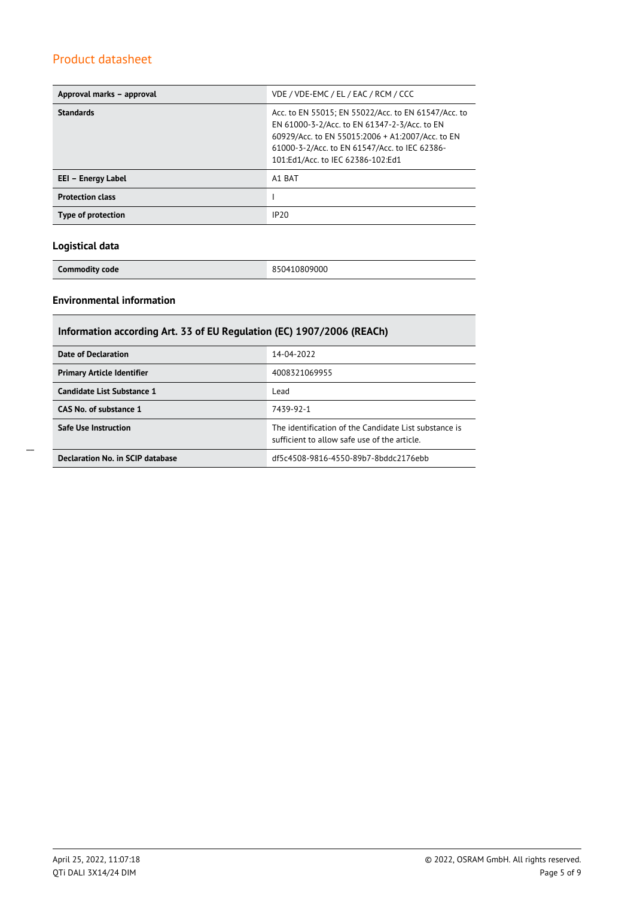| Approval marks - approval | VDE / VDE-EMC / EL / EAC / RCM / CCC                                                                                                                                                                                                          |
|---------------------------|-----------------------------------------------------------------------------------------------------------------------------------------------------------------------------------------------------------------------------------------------|
| <b>Standards</b>          | Acc. to EN 55015; EN 55022/Acc. to EN 61547/Acc. to<br>EN 61000-3-2/Acc. to EN 61347-2-3/Acc. to EN<br>60929/Acc. to EN 55015:2006 + A1:2007/Acc. to EN<br>61000-3-2/Acc. to EN 61547/Acc. to IEC 62386-<br>101:Ed1/Acc. to IEC 62386-102:Ed1 |
| EEI - Energy Label        | A1 BAT                                                                                                                                                                                                                                        |
| <b>Protection class</b>   |                                                                                                                                                                                                                                               |
| Type of protection        | IP <sub>20</sub>                                                                                                                                                                                                                              |

## **Logistical data**

**Commodity code** 850410809000

## **Environmental information**

| Information according Art. 33 of EU Regulation (EC) 1907/2006 (REACh) |                                                                                                      |  |  |
|-----------------------------------------------------------------------|------------------------------------------------------------------------------------------------------|--|--|
| Date of Declaration                                                   | 14-04-2022                                                                                           |  |  |
| <b>Primary Article Identifier</b>                                     | 4008321069955                                                                                        |  |  |
| Candidate List Substance 1                                            | Lead                                                                                                 |  |  |
| CAS No. of substance 1                                                | 7439-92-1                                                                                            |  |  |
| <b>Safe Use Instruction</b>                                           | The identification of the Candidate List substance is<br>sufficient to allow safe use of the article |  |  |
| Declaration No. in SCIP database                                      | df5c4508-9816-4550-89b7-8bddc2176ebb                                                                 |  |  |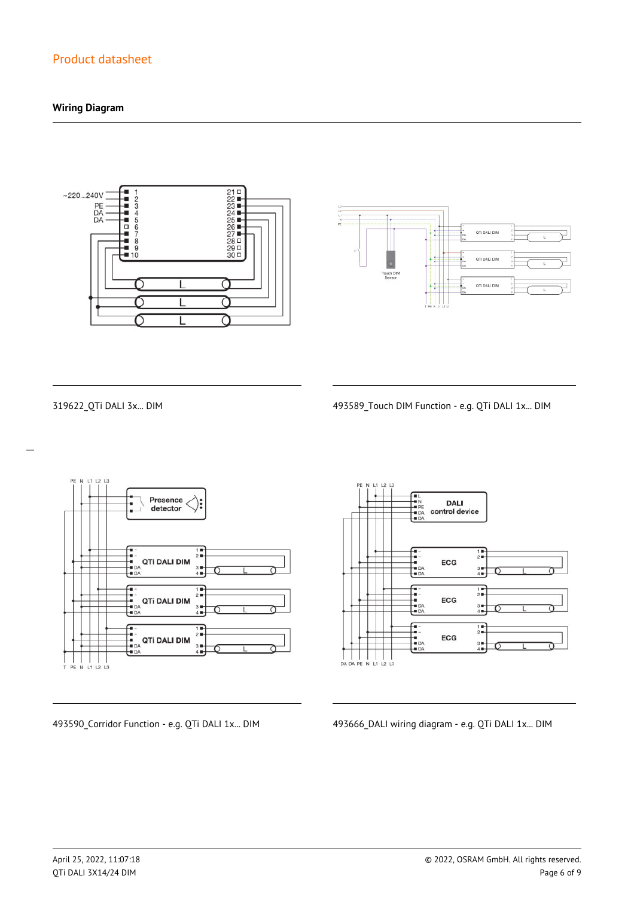## **Wiring Diagram**





 $\overline{a}$ 

319622\_QTi DALI 3x... DIM 493589\_Touch DIM Function - e.g. QTi DALI 1x... DIM



**DALI** control device  $\frac{1}{2}$ ECG  $\frac{3}{4}$  $\begin{array}{c}\n\overline{11} \\
\overline{21} \\
\overline{11}\n\end{array}$ -<br>- 1<br>- DA<br>- DA ECG  $3 +$ <br> $4 +$  $\frac{1}{2}$  $\frac{1}{2}$ ECG  $3 +$ 

493590\_Corridor Function - e.g. QTi DALI 1x... DIM 493666\_DALI wiring diagram - e.g. QTi DALI 1x... DIM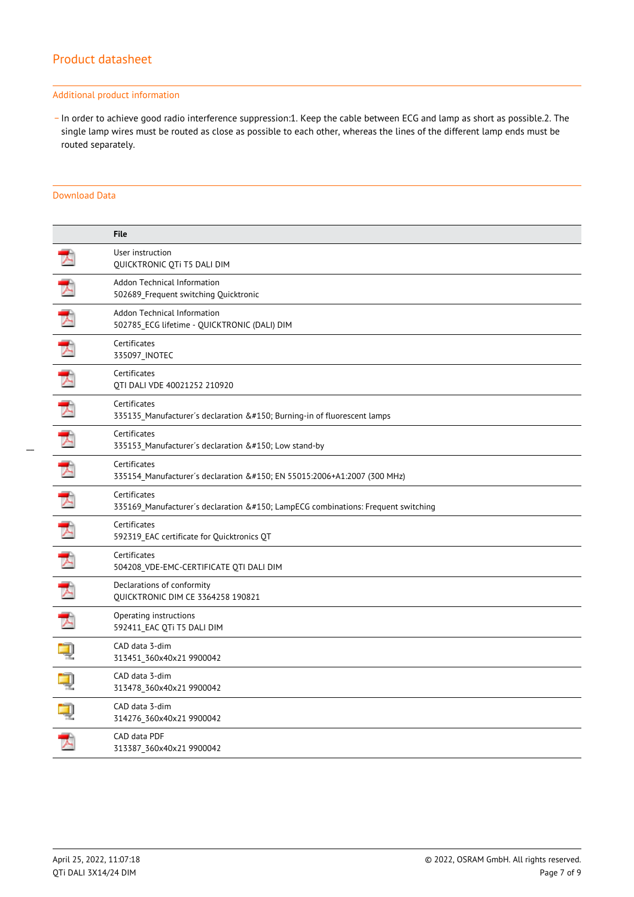#### Additional product information

\_ In order to achieve good radio interference suppression:1. Keep the cable between ECG and lamp as short as possible.2. The single lamp wires must be routed as close as possible to each other, whereas the lines of the different lamp ends must be routed separately.

#### Download Data

|                      | <b>File</b>                                                                                  |
|----------------------|----------------------------------------------------------------------------------------------|
|                      | User instruction<br>QUICKTRONIC QTi T5 DALI DIM                                              |
| 天                    | Addon Technical Information<br>502689_Frequent switching Quicktronic                         |
| $\overline{\lambda}$ | Addon Technical Information<br>502785 ECG lifetime - QUICKTRONIC (DALI) DIM                  |
| T                    | Certificates<br>335097 INOTEC                                                                |
| 丈                    | Certificates<br>OTI DALI VDE 40021252 210920                                                 |
|                      | Certificates<br>335135 Manufacturer's declaration – Burning-in of fluorescent lamps          |
|                      | Certificates<br>335153_Manufacturer's declaration – Low stand-by                             |
| 飞                    | Certificates<br>335154_Manufacturer's declaration – EN 55015:2006+A1:2007 (300 MHz)          |
| プ                    | Certificates<br>335169 Manufacturer's declaration – LampECG combinations: Frequent switching |
| 丈                    | Certificates<br>592319 EAC certificate for Quicktronics QT                                   |
| 下                    | Certificates<br>504208 VDE-EMC-CERTIFICATE QTI DALI DIM                                      |
| 天                    | Declarations of conformity<br>QUICKTRONIC DIM CE 3364258 190821                              |
| $\mathcal{L}$        | Operating instructions<br>592411 EAC QTi T5 DALI DIM                                         |
|                      | CAD data 3-dim<br>313451 360x40x21 9900042                                                   |
|                      | CAD data 3-dim<br>313478 360x40x21 9900042                                                   |
|                      | CAD data 3-dim<br>314276_360x40x21 9900042                                                   |
|                      | CAD data PDF<br>313387_360x40x21 9900042                                                     |
|                      |                                                                                              |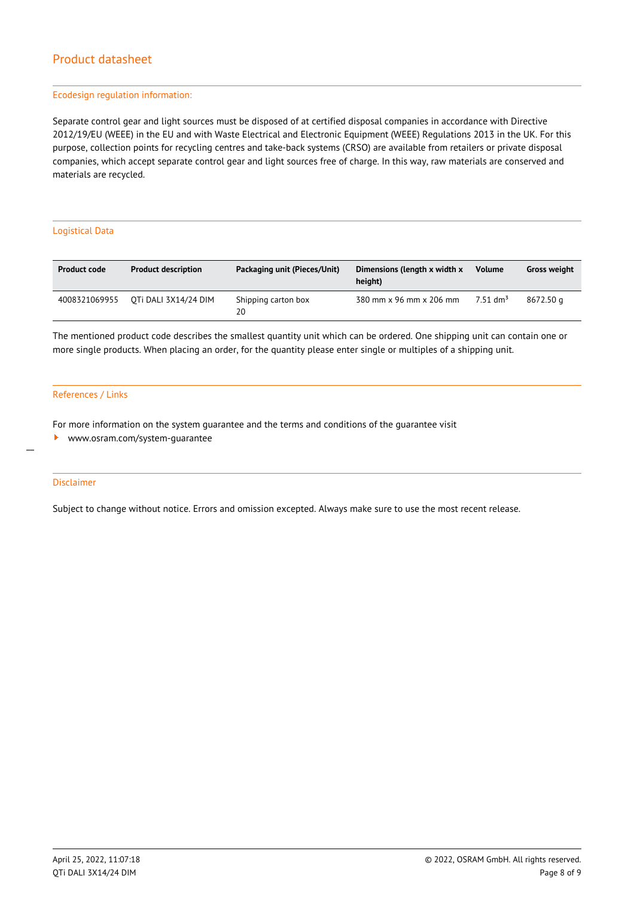#### Ecodesign regulation information:

Separate control gear and light sources must be disposed of at certified disposal companies in accordance with Directive 2012/19/EU (WEEE) in the EU and with Waste Electrical and Electronic Equipment (WEEE) Regulations 2013 in the UK. For this purpose, collection points for recycling centres and take-back systems (CRSO) are available from retailers or private disposal companies, which accept separate control gear and light sources free of charge. In this way, raw materials are conserved and materials are recycled.

#### Logistical Data

| <b>Product code</b> | <b>Product description</b> | Packaging unit (Pieces/Unit) | Dimensions (length x width x<br>height) | <b>Volume</b>          | <b>Gross weight</b> |
|---------------------|----------------------------|------------------------------|-----------------------------------------|------------------------|---------------------|
| 4008321069955       | OTI DALI 3X14/24 DIM       | Shipping carton box<br>20    | 380 mm x 96 mm x 206 mm                 | $7.51$ dm <sup>3</sup> | 8672.50 a           |

The mentioned product code describes the smallest quantity unit which can be ordered. One shipping unit can contain one or more single products. When placing an order, for the quantity please enter single or multiples of a shipping unit.

#### References / Links

For more information on the system guarantee and the terms and conditions of the guarantee visit

<www.osram.com/system-guarantee>

#### Disclaimer

 $\overline{a}$ 

Subject to change without notice. Errors and omission excepted. Always make sure to use the most recent release.